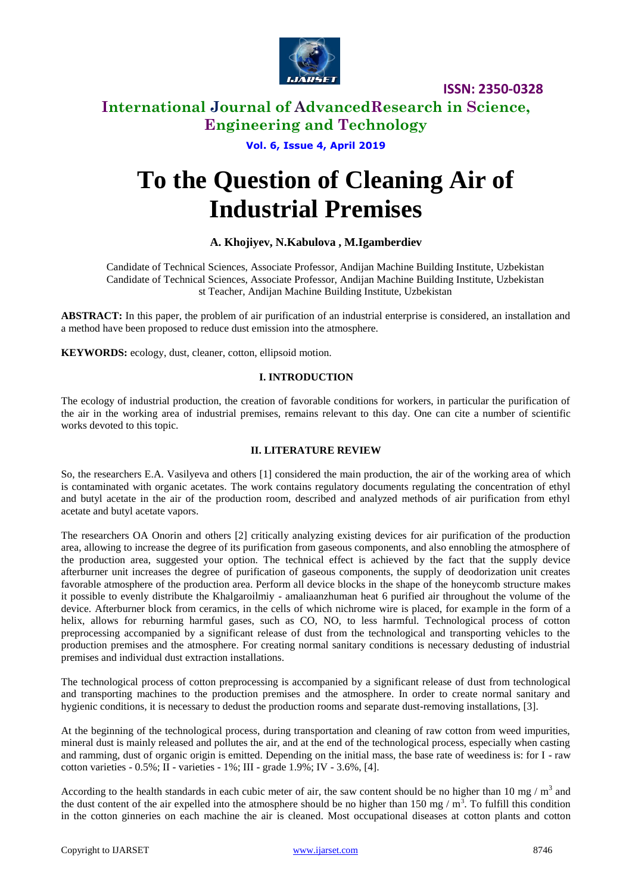

**ISSN: 2350-0328**

# **International Journal of AdvancedResearch in Science, Engineering and Technology**

## **Vol. 6, Issue 4, April 2019**

# **To the Question of Cleaning Air of Industrial Premises**

## **A. Khojiyev, N.Kabulova , M.Igamberdiev**

Candidate of Technical Sciences, Associate Professor, Andijan Machine Building Institute, Uzbekistan Candidate of Technical Sciences, Associate Professor, Andijan Machine Building Institute, Uzbekistan st Teacher, Andijan Machine Building Institute, Uzbekistan

**ABSTRACT:** In this paper, the problem of air purification of an industrial enterprise is considered, an installation and a method have been proposed to reduce dust emission into the atmosphere.

**KEYWORDS:** ecology, dust, cleaner, cotton, ellipsoid motion.

#### **I. INTRODUCTION**

The ecology of industrial production, the creation of favorable conditions for workers, in particular the purification of the air in the working area of industrial premises, remains relevant to this day. One can cite a number of scientific works devoted to this topic.

#### **II. LITERATURE REVIEW**

So, the researchers E.A. Vasilyeva and others [1] considered the main production, the air of the working area of which is contaminated with organic acetates. The work contains regulatory documents regulating the concentration of ethyl and butyl acetate in the air of the production room, described and analyzed methods of air purification from ethyl acetate and butyl acetate vapors.

The researchers OA Onorin and others [2] critically analyzing existing devices for air purification of the production area, allowing to increase the degree of its purification from gaseous components, and also ennobling the atmosphere of the production area, suggested your option. The technical effect is achieved by the fact that the supply device afterburner unit increases the degree of purification of gaseous components, the supply of deodorization unit creates favorable atmosphere of the production area. Perform all device blocks in the shape of the honeycomb structure makes it possible to evenly distribute the Khalgaroilmiy - amaliaanzhuman heat 6 purified air throughout the volume of the device. Afterburner block from ceramics, in the cells of which nichrome wire is placed, for example in the form of a helix, allows for reburning harmful gases, such as CO, NO, to less harmful. Technological process of cotton preprocessing accompanied by a significant release of dust from the technological and transporting vehicles to the production premises and the atmosphere. For creating normal sanitary conditions is necessary dedusting of industrial premises and individual dust extraction installations.

The technological process of cotton preprocessing is accompanied by a significant release of dust from technological and transporting machines to the production premises and the atmosphere. In order to create normal sanitary and hygienic conditions, it is necessary to dedust the production rooms and separate dust-removing installations, [3].

At the beginning of the technological process, during transportation and cleaning of raw cotton from weed impurities, mineral dust is mainly released and pollutes the air, and at the end of the technological process, especially when casting and ramming, dust of organic origin is emitted. Depending on the initial mass, the base rate of weediness is: for I - raw cotton varieties -  $0.5\%$ ; II - varieties -  $1\%$ ; III - grade  $1.9\%$ ; IV -  $3.6\%$ , [4].

According to the health standards in each cubic meter of air, the saw content should be no higher than 10 mg /  $m<sup>3</sup>$  and the dust content of the air expelled into the atmosphere should be no higher than 150 mg  $/m<sup>3</sup>$ . To fulfill this condition in the cotton ginneries on each machine the air is cleaned. Most occupational diseases at cotton plants and cotton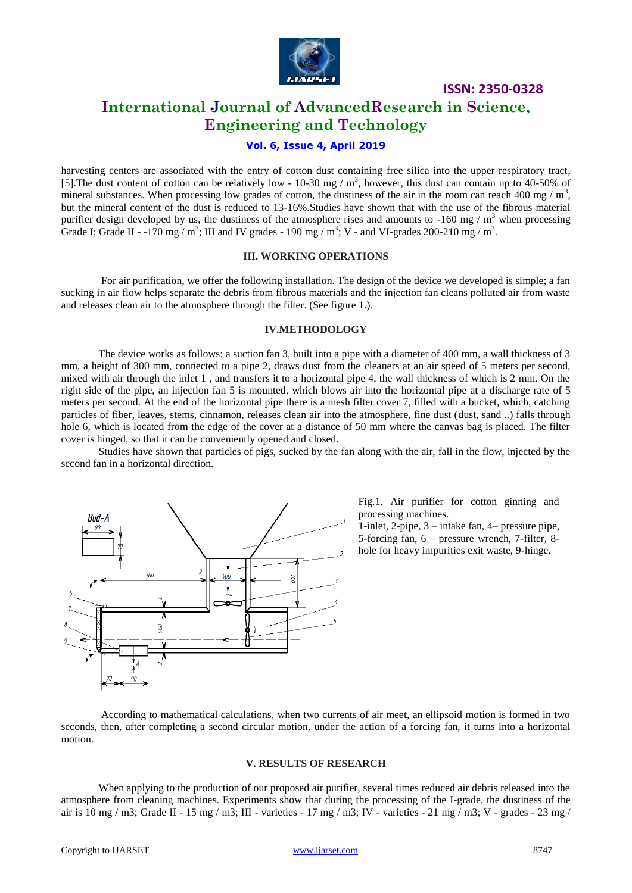

**ISSN: 2350-0328**

# **International Journal of AdvancedResearch in Science, Engineering and Technology**

## **Vol. 6, Issue 4, April 2019**

harvesting centers are associated with the entry of cotton dust containing free silica into the upper respiratory tract, [5]. The dust content of cotton can be relatively low - 10-30 mg /  $m<sup>3</sup>$ , however, this dust can contain up to 40-50% of mineral substances. When processing low grades of cotton, the dustiness of the air in the room can reach 400 mg /  $m<sup>3</sup>$ , but the mineral content of the dust is reduced to 13-16%.Studies have shown that with the use of the fibrous material purifier design developed by us, the dustiness of the atmosphere rises and amounts to  $-160$  mg / m<sup>3</sup> when processing Grade I; Grade II - -170 mg / m<sup>3</sup>; III and IV grades - 190 mg / m<sup>3</sup>; V - and VI-grades 200-210 mg / m<sup>3</sup>.

#### **III. WORKING OPERATIONS**

For air purification, we offer the following installation. The design of the device we developed is simple; a fan sucking in air flow helps separate the debris from fibrous materials and the injection fan cleans polluted air from waste and releases clean air to the atmosphere through the filter. (See figure 1.).

#### **IV.METHODOLOGY**

The device works as follows: a suction fan 3, built into a pipe with a diameter of 400 mm, a wall thickness of 3 mm, a height of 300 mm, connected to a pipe 2, draws dust from the cleaners at an air speed of 5 meters per second, mixed with air through the inlet 1 , and transfers it to a horizontal pipe 4, the wall thickness of which is 2 mm. On the right side of the pipe, an injection fan 5 is mounted, which blows air into the horizontal pipe at a discharge rate of 5 meters per second. At the end of the horizontal pipe there is a mesh filter cover 7, filled with a bucket, which, catching particles of fiber, leaves, stems, cinnamon, releases clean air into the atmosphere, fine dust (dust, sand ..) falls through hole 6, which is located from the edge of the cover at a distance of 50 mm where the canvas bag is placed. The filter cover is hinged, so that it can be conveniently opened and closed.

Studies have shown that particles of pigs, sucked by the fan along with the air, fall in the flow, injected by the second fan in a horizontal direction.



Fig.1. Air purifier for cotton ginning and processing machines.

1-inlet, 2-pipe, 3 – intake fan, 4– pressure pipe, 5-forcing fan, 6 – pressure wrench, 7-filter, 8 hole for heavy impurities exit waste, 9-hinge.

According to mathematical calculations, when two currents of air meet, an ellipsoid motion is formed in two seconds, then, after completing a second circular motion, under the action of a forcing fan, it turns into a horizontal motion.

#### **V. RESULTS OF RESEARCH**

When applying to the production of our proposed air purifier, several times reduced air debris released into the atmosphere from cleaning machines. Experiments show that during the processing of the I-grade, the dustiness of the air is  $10 \text{ mg}$  / m3; Grade II -  $15 \text{ mg}$  / m3; III - varieties -  $17 \text{ mg}$  / m3; IV - varieties -  $21 \text{ mg}$  / m3; V - grades -  $23 \text{ mg}$  /